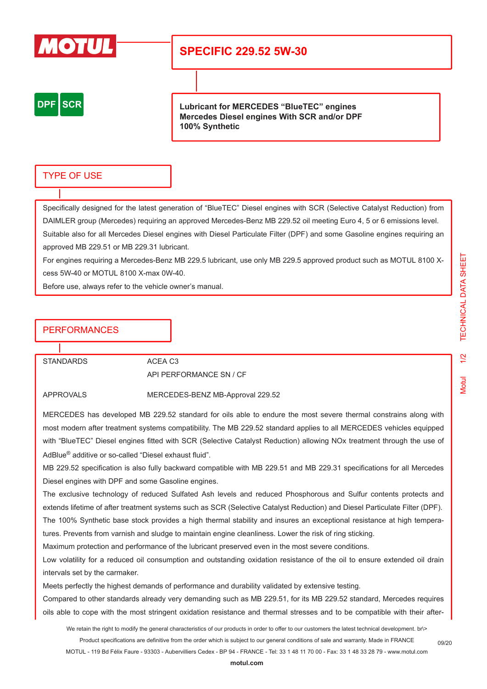

# **SPECIFIC 229.52 5W-30**



**Lubricant for MERCEDES "BlueTEC" engines Mercedes Diesel engines With SCR and/or DPF 100% Synthetic**

## TYPE OF USE

Specifically designed for the latest generation of "BlueTEC" Diesel engines with SCR (Selective Catalyst Reduction) from DAIMLER group (Mercedes) requiring an approved Mercedes-Benz MB 229.52 oil meeting Euro 4, 5 or 6 emissions level. Suitable also for all Mercedes Diesel engines with Diesel Particulate Filter (DPF) and some Gasoline engines requiring an approved MB 229.51 or MB 229.31 lubricant.

For engines requiring a Mercedes-Benz MB 229.5 lubricant, use only MB 229.5 approved product such as MOTUL 8100 Xcess 5W-40 or MOTUL 8100 X-max 0W-40.

Before use, always refer to the vehicle owner's manual.

## **PERFORMANCES**

STANDARDS ACEA C3

API PERFORMANCE SN / CF

APPROVALS MERCEDES-BENZ MB-Approval 229.52

MERCEDES has developed MB 229.52 standard for oils able to endure the most severe thermal constrains along with most modern after treatment systems compatibility. The MB 229.52 standard applies to all MERCEDES vehicles equipped with "BlueTEC" Diesel engines fitted with SCR (Selective Catalyst Reduction) allowing NOx treatment through the use of AdBlue® additive or so-called "Diesel exhaust fluid".

MB 229.52 specification is also fully backward compatible with MB 229.51 and MB 229.31 specifications for all Mercedes Diesel engines with DPF and some Gasoline engines.

The exclusive technology of reduced Sulfated Ash levels and reduced Phosphorous and Sulfur contents protects and extends lifetime of after treatment systems such as SCR (Selective Catalyst Reduction) and Diesel Particulate Filter (DPF).

The 100% Synthetic base stock provides a high thermal stability and insures an exceptional resistance at high temperatures. Prevents from varnish and sludge to maintain engine cleanliness. Lower the risk of ring sticking.

Maximum protection and performance of the lubricant preserved even in the most severe conditions.

Low volatility for a reduced oil consumption and outstanding oxidation resistance of the oil to ensure extended oil drain intervals set by the carmaker.

Meets perfectly the highest demands of performance and durability validated by extensive testing.

Compared to other standards already very demanding such as MB 229.51, for its MB 229.52 standard, Mercedes requires oils able to cope with the most stringent oxidation resistance and thermal stresses and to be compatible with their after-

We retain the right to modify the general characteristics of our products in order to offer to our customers the latest technical development. br\> Product specifications are definitive from the order which is subject to our general conditions of sale and warranty. Made in FRANCE

MOTUL - 119 Bd Félix Faure - 93303 - Aubervilliers Cedex - BP 94 - FRANCE - Tel: 33 1 48 11 70 00 - Fax: 33 1 48 33 28 79 - www.motul.com

Motul 1/2 TECHNICAL DATA SHEET*FECHNICAL DATA SHEET* Vlotul

09/20